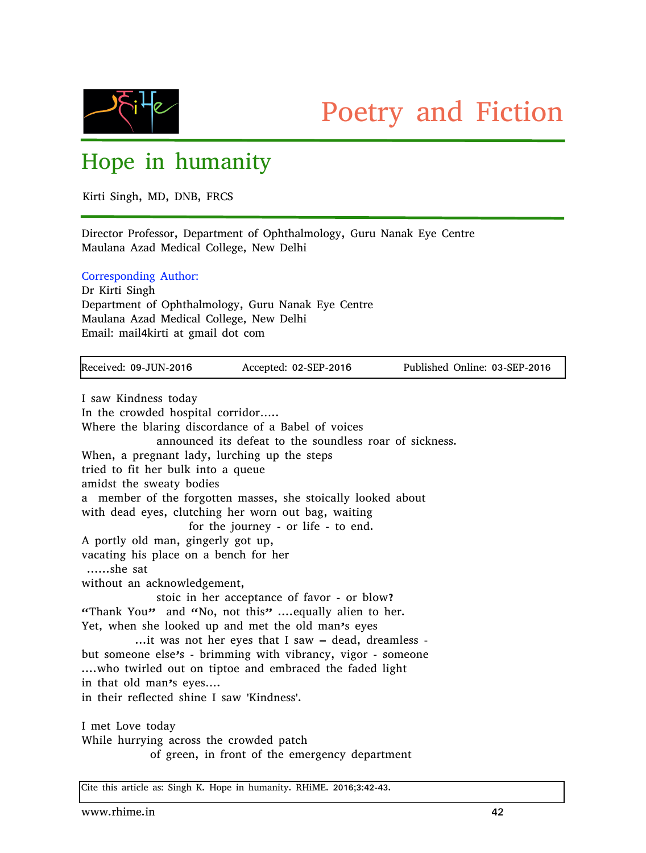

## Hope in humanity

Kirti Singh, MD, DNB, FRCS

Director Professor, Department of Ophthalmology, Guru Nanak Eye Centre Maulana Azad Medical College, New Delhi

Corresponding Author:

Dr Kirti Singh Department of Ophthalmology, Guru Nanak Eye Centre Maulana Azad Medical College, New Delhi Email: mail4kirti at gmail dot com

| Received: 09-JUN-2016                                        | Accepted: 02-SEP-2016                              | Published Online: 03-SEP-2016 |
|--------------------------------------------------------------|----------------------------------------------------|-------------------------------|
| I saw Kindness today                                         |                                                    |                               |
|                                                              |                                                    |                               |
| In the crowded hospital corridor                             |                                                    |                               |
| Where the blaring discordance of a Babel of voices           |                                                    |                               |
| announced its defeat to the soundless roar of sickness.      |                                                    |                               |
| When, a pregnant lady, lurching up the steps                 |                                                    |                               |
| tried to fit her bulk into a queue                           |                                                    |                               |
| amidst the sweaty bodies                                     |                                                    |                               |
| a member of the forgotten masses, she stoically looked about |                                                    |                               |
| with dead eyes, clutching her worn out bag, waiting          |                                                    |                               |
|                                                              | for the journey - or life - to end.                |                               |
| A portly old man, gingerly got up,                           |                                                    |                               |
| vacating his place on a bench for her                        |                                                    |                               |
| she sat                                                      |                                                    |                               |
| without an acknowledgement,                                  |                                                    |                               |
|                                                              | stoic in her acceptance of favor - or blow?        |                               |
| "Thank You" and "No, not this"  equally alien to her.        |                                                    |                               |
| Yet, when she looked up and met the old man's eyes           |                                                    |                               |
|                                                              | it was not her eyes that I saw - dead, dreamless - |                               |
| but someone else's - brimming with vibrancy, vigor - someone |                                                    |                               |
| who twirled out on tiptoe and embraced the faded light       |                                                    |                               |
| in that old man's eyes                                       |                                                    |                               |
| in their reflected shine I saw 'Kindness'.                   |                                                    |                               |
| I met Love today                                             |                                                    |                               |
| While hurrying across the crowded patch                      |                                                    |                               |
|                                                              | of green, in front of the emergency department     |                               |
|                                                              |                                                    |                               |

Cite this article as: Singh K. Hope in humanity. RHiME. 2016;3:42-43.